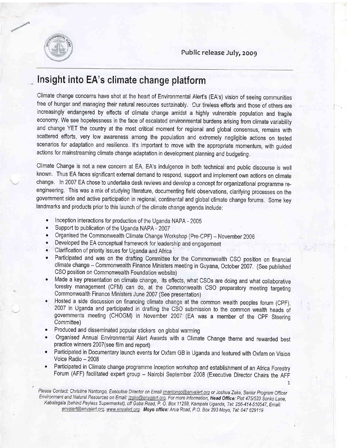

## Insight into EA's climate change platform

Climate change concerns have shot at the heart of Environmental Alert's (EA's) vision of seeing communities free of hunger and managing their natural resources sustainably. Our tireless efforts and those of others are increasingly endangered by effects of climate change amidst a highly vulnerable population and fragile economy, We see hopelessness in the face of escalated environmental burdens arising from climate variability and change YET the country at the most critical moment for regional and global consensus, remains with scattered efforts, very low awareness among the population and extremely negligible actions on tested scenarios for adaptation and resilience. It's important to move with the appropriate momentum, with guided actions for mainstreaming climate change adaptation in development planning and budgeting,

Climate Change is not a new concern at EA. EA's indulgence in both technical and public discourse is well known. Thus EA faces significant external demand to respond, support and implement own actions on climate change. In 2007 EA chose to undertake desk reviews and develop a concept for organizational programme reengineering, This was a mix of studying literature, documenting field observations, clarifying processes on the government side and active participation in regional, continental and global climate change forums. Some key landmarks and products prior to this launch of the climate change agenda include:

- . Inception interactions for production of the Uganda NApA 2005
- Support to publication of the Uganda NAPA 2007
- Organised the Commonwealth Climate Change Workshop (Pre-CPF) November 2006<br>• Developed the EA concentual framework for leadership and engagement
- Developed the EA conceptual framework for leadership and engagement
- Clarification of priority issues for Uganda and Africa<sup>1</sup>
- Participated and was on the drafting Committee for the Commonwealth CSO position on financial climate change - Commonwealth Finance Ministers meeting in Guyana, October 2007, (See published CSO position on Commonwealth Foundation website)
- Made a key presentation on climate change, its effects, what CSOs are doing and what collaborative forestry management (CFM) can do, at the Commonwealth CSO preparatory meeting targeting Commonwealth Finance Ministers June 2007 (See presentation)
- Hosted a side discussion on financing climate change at the common wealth peoples forum (CPF), 2007 in Uganda and participated in drafting the CSO submission to the common wealth heads of governments meeting (CHOGM) in November 200r" (EA was a member of the CpF Steerinq Committee)
- . Produced and disseminated popular stickers on global warming
- Organised Annual Environmental Alert Awards with a Climate Change theme and rewarded best practice winners 2007(see film and report)
- . Participated in Documentary launch events for Oxfam GB in Uganda and featured with Oxfam on Vision Voice Radio - 2008
- . Participated in Climate change programme inception workshop and establishment of an Africa Forestry Forum (AFF) facilitated expert group - Nairobi September 2008 (Executive Director Chairs the AFF

 $\mathbf{1}$ 

Please Contact: Christine Nantongo, Executive Director on Email <u>cnantongo@envalert.org</u> or Joshua Zake, Senior Program Officer Environment and Natural Resources on Email: *jzake@envalert.org. For more information*, Head Office: Plot 475/523 Sonko Lane, Kabalagala (behind Payless Supermarket), off Gaba Road, P. O. Box 11259, Kampala Uganda, Tel: 256-414-510547, Email: envalert@envalert.org. www.envalert.org. Moyo office: Arua Road, P.O. Box 293 Moyo, Tel: 047 629119